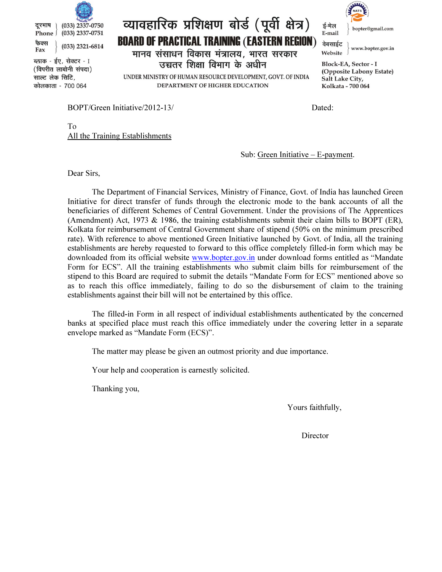

ब्लाक - ईए, सेक्टर - I (विपरीत लाबोनी संपदा) साल्ट लेक सिटि, कोलकाता - 700 064

## व्यावहारिक प्रशिक्षण बोर्ड (पूर्वी क्षेत्र) **BOARD OF PRACTICAL TRAINING (EASTERN REGION)** मानव संसाधन विकास मंत्रालय, भारत सरकार Website उच्चतर शिक्षा विभाग के अधीन

UNDER MINISTRY OF HUMAN RESOURCE DEVELOPMENT, GOVT. OF INDIA DEPARTMENT OF HIGHER EDUCATION



वेबसाईट www.bopter.gov.in

Block-EA, Sector - I (Opposite Labony Estate) Salt Lake City, Kolkata - 700 064

BOPT/Green Initiative/2012-13/ Dated:

To All the Training Establishments

Sub: Green Initiative – E-payment.

Dear Sirs,

 The Department of Financial Services, Ministry of Finance, Govt. of India has launched Green Initiative for direct transfer of funds through the electronic mode to the bank accounts of all the beneficiaries of different Schemes of Central Government. Under the provisions of The Apprentices (Amendment) Act, 1973 & 1986, the training establishments submit their claim bills to BOPT (ER), Kolkata for reimbursement of Central Government share of stipend (50% on the minimum prescribed rate). With reference to above mentioned Green Initiative launched by Govt. of India, all the training establishments are hereby requested to forward to this office completely filled-in form which may be downloaded from its official website www.bopter.gov.in under download forms entitled as "Mandate Form for ECS". All the training establishments who submit claim bills for reimbursement of the stipend to this Board are required to submit the details "Mandate Form for ECS" mentioned above so as to reach this office immediately, failing to do so the disbursement of claim to the training establishments against their bill will not be entertained by this office.

 The filled-in Form in all respect of individual establishments authenticated by the concerned banks at specified place must reach this office immediately under the covering letter in a separate envelope marked as "Mandate Form (ECS)".

The matter may please be given an outmost priority and due importance.

Your help and cooperation is earnestly solicited.

Thanking you,

Yours faithfully,

Director